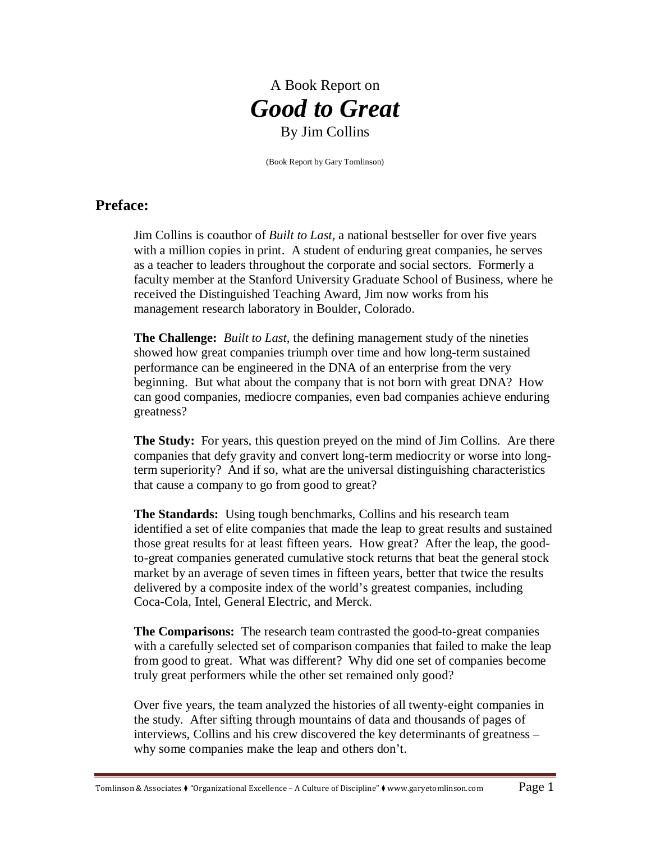

(Book Report by Gary Tomlinson)

# **Preface:**

Jim Collins is coauthor of *Built to Last*, a national bestseller for over five years with a million copies in print. A student of enduring great companies, he serves as a teacher to leaders throughout the corporate and social sectors. Formerly a faculty member at the Stanford University Graduate School of Business, where he received the Distinguished Teaching Award, Jim now works from his management research laboratory in Boulder, Colorado.

**The Challenge:** *Built to Last*, the defining management study of the nineties showed how great companies triumph over time and how long-term sustained performance can be engineered in the DNA of an enterprise from the very beginning. But what about the company that is not born with great DNA? How can good companies, mediocre companies, even bad companies achieve enduring greatness?

**The Study:** For years, this question preyed on the mind of Jim Collins. Are there companies that defy gravity and convert long-term mediocrity or worse into longterm superiority? And if so, what are the universal distinguishing characteristics that cause a company to go from good to great?

**The Standards:** Using tough benchmarks, Collins and his research team identified a set of elite companies that made the leap to great results and sustained those great results for at least fifteen years. How great? After the leap, the goodto-great companies generated cumulative stock returns that beat the general stock market by an average of seven times in fifteen years, better that twice the results delivered by a composite index of the world's greatest companies, including Coca-Cola, Intel, General Electric, and Merck.

**The Comparisons:** The research team contrasted the good-to-great companies with a carefully selected set of comparison companies that failed to make the leap from good to great. What was different? Why did one set of companies become truly great performers while the other set remained only good?

Over five years, the team analyzed the histories of all twenty-eight companies in the study. After sifting through mountains of data and thousands of pages of interviews, Collins and his crew discovered the key determinants of greatness – why some companies make the leap and others don't.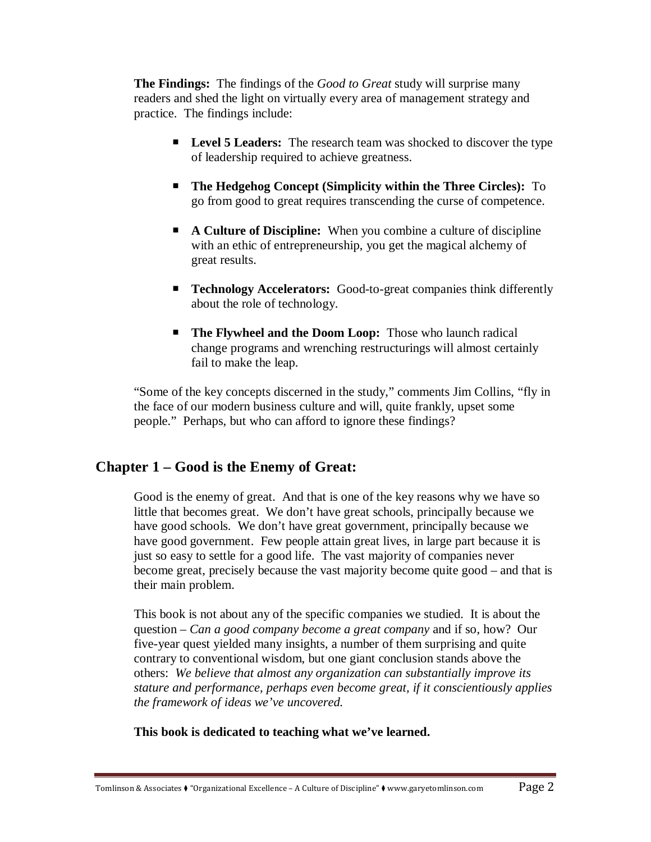**The Findings:** The findings of the *Good to Great* study will surprise many readers and shed the light on virtually every area of management strategy and practice. The findings include:

- **Level 5 Leaders:** The research team was shocked to discover the type of leadership required to achieve greatness.
- **The Hedgehog Concept (Simplicity within the Three Circles):** To go from good to great requires transcending the curse of competence.
- **A Culture of Discipline:** When you combine a culture of discipline with an ethic of entrepreneurship, you get the magical alchemy of great results.
- **Technology Accelerators:** Good-to-great companies think differently about the role of technology.
- **The Flywheel and the Doom Loop:** Those who launch radical change programs and wrenching restructurings will almost certainly fail to make the leap.

"Some of the key concepts discerned in the study," comments Jim Collins, "fly in the face of our modern business culture and will, quite frankly, upset some people." Perhaps, but who can afford to ignore these findings?

# **Chapter 1 – Good is the Enemy of Great:**

Good is the enemy of great. And that is one of the key reasons why we have so little that becomes great. We don't have great schools, principally because we have good schools. We don't have great government, principally because we have good government. Few people attain great lives, in large part because it is just so easy to settle for a good life. The vast majority of companies never become great, precisely because the vast majority become quite good – and that is their main problem.

This book is not about any of the specific companies we studied. It is about the question – *Can a good company become a great company* and if so, how? Our five-year quest yielded many insights, a number of them surprising and quite contrary to conventional wisdom, but one giant conclusion stands above the others: *We believe that almost any organization can substantially improve its stature and performance, perhaps even become great, if it conscientiously applies the framework of ideas we've uncovered.*

### **This book is dedicated to teaching what we've learned.**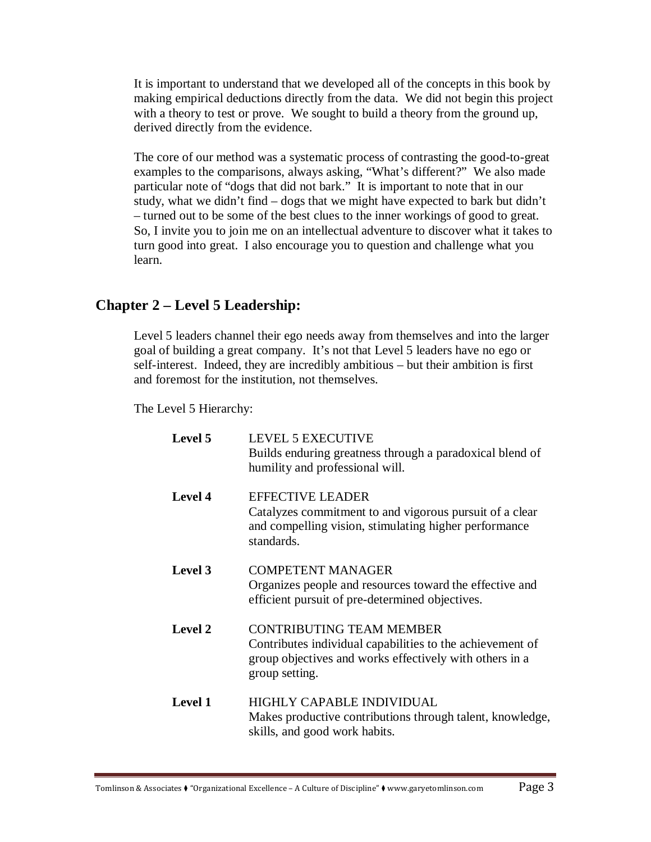It is important to understand that we developed all of the concepts in this book by making empirical deductions directly from the data. We did not begin this project with a theory to test or prove. We sought to build a theory from the ground up, derived directly from the evidence.

The core of our method was a systematic process of contrasting the good-to-great examples to the comparisons, always asking, "What's different?" We also made particular note of "dogs that did not bark." It is important to note that in our study, what we didn't find – dogs that we might have expected to bark but didn't – turned out to be some of the best clues to the inner workings of good to great. So, I invite you to join me on an intellectual adventure to discover what it takes to turn good into great. I also encourage you to question and challenge what you learn.

### **Chapter 2 – Level 5 Leadership:**

Level 5 leaders channel their ego needs away from themselves and into the larger goal of building a great company. It's not that Level 5 leaders have no ego or self-interest. Indeed, they are incredibly ambitious – but their ambition is first and foremost for the institution, not themselves.

The Level 5 Hierarchy:

| Level 5        | <b>LEVEL 5 EXECUTIVE</b><br>Builds enduring greatness through a paradoxical blend of<br>humility and professional will.                                                   |
|----------------|---------------------------------------------------------------------------------------------------------------------------------------------------------------------------|
| Level 4        | <b>EFFECTIVE LEADER</b><br>Catalyzes commitment to and vigorous pursuit of a clear<br>and compelling vision, stimulating higher performance<br>standards.                 |
| Level 3        | <b>COMPETENT MANAGER</b><br>Organizes people and resources toward the effective and<br>efficient pursuit of pre-determined objectives.                                    |
| Level 2        | <b>CONTRIBUTING TEAM MEMBER</b><br>Contributes individual capabilities to the achievement of<br>group objectives and works effectively with others in a<br>group setting. |
| <b>Level 1</b> | HIGHLY CAPABLE INDIVIDUAL<br>Makes productive contributions through talent, knowledge,<br>skills, and good work habits.                                                   |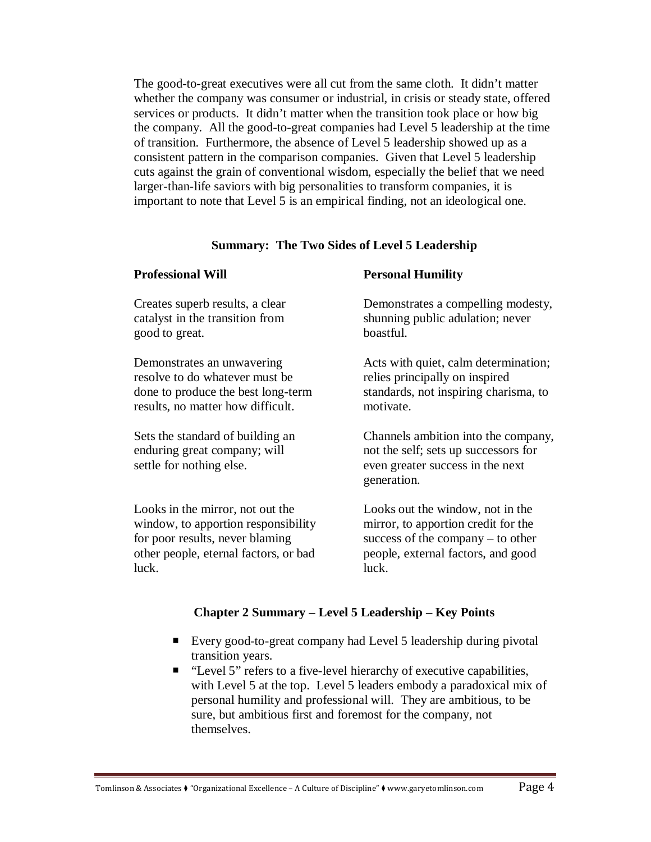The good-to-great executives were all cut from the same cloth. It didn't matter whether the company was consumer or industrial, in crisis or steady state, offered services or products. It didn't matter when the transition took place or how big the company. All the good-to-great companies had Level 5 leadership at the time of transition. Furthermore, the absence of Level 5 leadership showed up as a consistent pattern in the comparison companies. Given that Level 5 leadership cuts against the grain of conventional wisdom, especially the belief that we need larger-than-life saviors with big personalities to transform companies, it is important to note that Level 5 is an empirical finding, not an ideological one.

#### **Summary: The Two Sides of Level 5 Leadership**

| <b>Professional Will</b>                                                                     | <b>Personal Humility</b>                                                                                                       |
|----------------------------------------------------------------------------------------------|--------------------------------------------------------------------------------------------------------------------------------|
| Creates superb results, a clear                                                              | Demonstrates a compelling modesty,                                                                                             |
| catalyst in the transition from                                                              | shunning public adulation; never                                                                                               |
| good to great.                                                                               | boastful.                                                                                                                      |
| Demonstrates an unwavering                                                                   | Acts with quiet, calm determination;                                                                                           |
| resolve to do whatever must be                                                               | relies principally on inspired                                                                                                 |
| done to produce the best long-term                                                           | standards, not inspiring charisma, to                                                                                          |
| results, no matter how difficult.                                                            | motivate.                                                                                                                      |
| Sets the standard of building an<br>enduring great company; will<br>settle for nothing else. | Channels ambition into the company,<br>not the self; sets up successors for<br>even greater success in the next<br>generation. |

window, to apportion responsibility mirror, to apportion credit for the for poor results, never blaming success of the company – to other other people, eternal factors, or bad people, external factors, and good luck. Iuck.

Looks in the mirror, not out the Looks out the window, not in the

#### **Chapter 2 Summary – Level 5 Leadership – Key Points**

- Every good-to-great company had Level 5 leadership during pivotal transition years.
- $\blacksquare$  "Level 5" refers to a five-level hierarchy of executive capabilities, with Level 5 at the top. Level 5 leaders embody a paradoxical mix of personal humility and professional will. They are ambitious, to be sure, but ambitious first and foremost for the company, not themselves.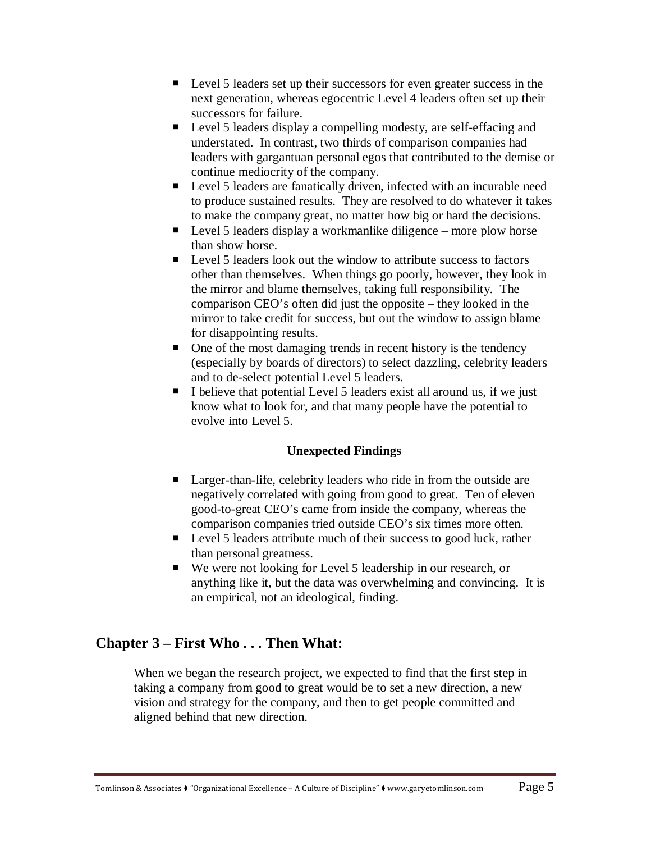- Level 5 leaders set up their successors for even greater success in the next generation, whereas egocentric Level 4 leaders often set up their successors for failure.
- Level 5 leaders display a compelling modesty, are self-effacing and understated. In contrast, two thirds of comparison companies had leaders with gargantuan personal egos that contributed to the demise or continue mediocrity of the company.
- Level 5 leaders are fanatically driven, infected with an incurable need to produce sustained results. They are resolved to do whatever it takes to make the company great, no matter how big or hard the decisions.
- $\blacksquare$  Level 5 leaders display a workmanlike diligence more plow horse than show horse.
- Level 5 leaders look out the window to attribute success to factors other than themselves. When things go poorly, however, they look in the mirror and blame themselves, taking full responsibility. The comparison CEO's often did just the opposite – they looked in the mirror to take credit for success, but out the window to assign blame for disappointing results.
- One of the most damaging trends in recent history is the tendency (especially by boards of directors) to select dazzling, celebrity leaders and to de-select potential Level 5 leaders.
- I believe that potential Level 5 leaders exist all around us, if we just know what to look for, and that many people have the potential to evolve into Level 5.

### **Unexpected Findings**

- Larger-than-life, celebrity leaders who ride in from the outside are negatively correlated with going from good to great. Ten of eleven good-to-great CEO's came from inside the company, whereas the comparison companies tried outside CEO's six times more often.
- Level 5 leaders attribute much of their success to good luck, rather than personal greatness.
- We were not looking for Level 5 leadership in our research, or anything like it, but the data was overwhelming and convincing. It is an empirical, not an ideological, finding.

# **Chapter 3 – First Who . . . Then What:**

When we began the research project, we expected to find that the first step in taking a company from good to great would be to set a new direction, a new vision and strategy for the company, and then to get people committed and aligned behind that new direction.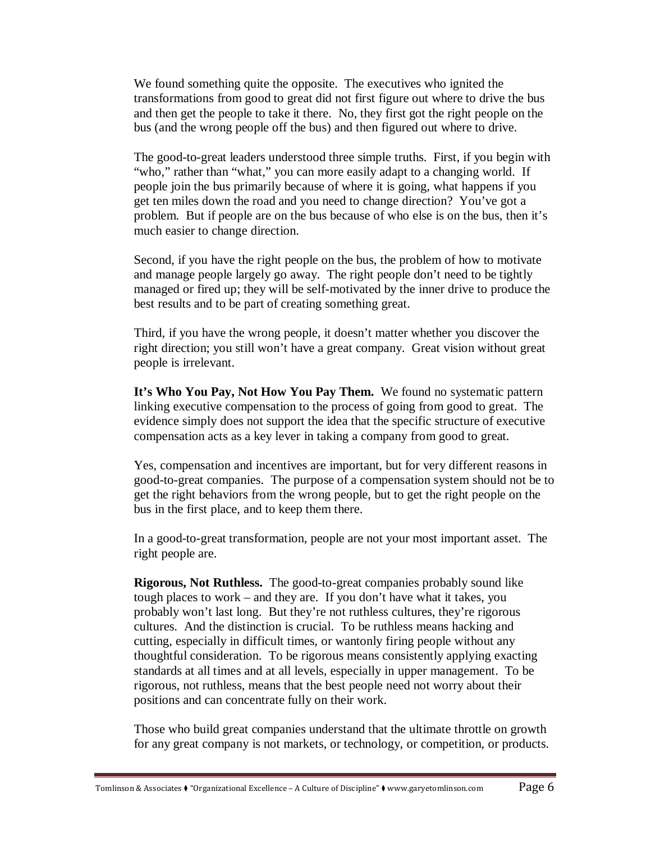We found something quite the opposite. The executives who ignited the transformations from good to great did not first figure out where to drive the bus and then get the people to take it there. No, they first got the right people on the bus (and the wrong people off the bus) and then figured out where to drive.

The good-to-great leaders understood three simple truths. First, if you begin with "who," rather than "what," you can more easily adapt to a changing world. If people join the bus primarily because of where it is going, what happens if you get ten miles down the road and you need to change direction? You've got a problem. But if people are on the bus because of who else is on the bus, then it's much easier to change direction.

Second, if you have the right people on the bus, the problem of how to motivate and manage people largely go away. The right people don't need to be tightly managed or fired up; they will be self-motivated by the inner drive to produce the best results and to be part of creating something great.

Third, if you have the wrong people, it doesn't matter whether you discover the right direction; you still won't have a great company. Great vision without great people is irrelevant.

**It's Who You Pay, Not How You Pay Them.** We found no systematic pattern linking executive compensation to the process of going from good to great. The evidence simply does not support the idea that the specific structure of executive compensation acts as a key lever in taking a company from good to great.

Yes, compensation and incentives are important, but for very different reasons in good-to-great companies. The purpose of a compensation system should not be to get the right behaviors from the wrong people, but to get the right people on the bus in the first place, and to keep them there.

In a good-to-great transformation, people are not your most important asset. The right people are.

**Rigorous, Not Ruthless.** The good-to-great companies probably sound like tough places to work – and they are. If you don't have what it takes, you probably won't last long. But they're not ruthless cultures, they're rigorous cultures. And the distinction is crucial. To be ruthless means hacking and cutting, especially in difficult times, or wantonly firing people without any thoughtful consideration. To be rigorous means consistently applying exacting standards at all times and at all levels, especially in upper management. To be rigorous, not ruthless, means that the best people need not worry about their positions and can concentrate fully on their work.

Those who build great companies understand that the ultimate throttle on growth for any great company is not markets, or technology, or competition, or products.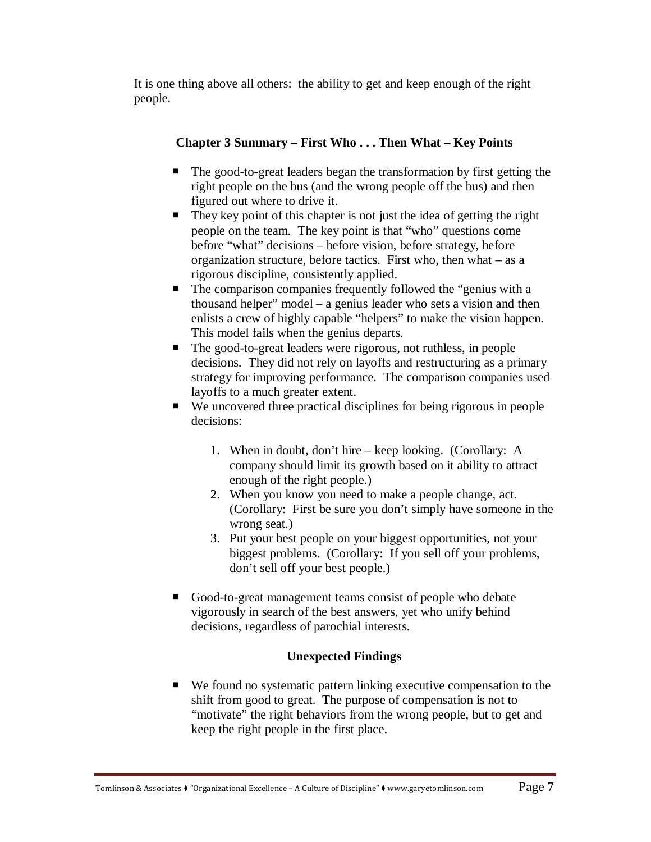It is one thing above all others: the ability to get and keep enough of the right people.

# **Chapter 3 Summary – First Who . . . Then What – Key Points**

- The good-to-great leaders began the transformation by first getting the right people on the bus (and the wrong people off the bus) and then figured out where to drive it.
- $\blacksquare$  They key point of this chapter is not just the idea of getting the right people on the team. The key point is that "who" questions come before "what" decisions – before vision, before strategy, before organization structure, before tactics. First who, then what – as a rigorous discipline, consistently applied.
- The comparison companies frequently followed the "genius with a thousand helper" model – a genius leader who sets a vision and then enlists a crew of highly capable "helpers" to make the vision happen. This model fails when the genius departs.
- The good-to-great leaders were rigorous, not ruthless, in people decisions. They did not rely on layoffs and restructuring as a primary strategy for improving performance. The comparison companies used layoffs to a much greater extent.
- We uncovered three practical disciplines for being rigorous in people decisions:
	- 1. When in doubt, don't hire keep looking. (Corollary: A company should limit its growth based on it ability to attract enough of the right people.)
	- 2. When you know you need to make a people change, act. (Corollary: First be sure you don't simply have someone in the wrong seat.)
	- 3. Put your best people on your biggest opportunities, not your biggest problems. (Corollary: If you sell off your problems, don't sell off your best people.)
- Good-to-great management teams consist of people who debate vigorously in search of the best answers, yet who unify behind decisions, regardless of parochial interests.

## **Unexpected Findings**

■ We found no systematic pattern linking executive compensation to the shift from good to great. The purpose of compensation is not to "motivate" the right behaviors from the wrong people, but to get and keep the right people in the first place.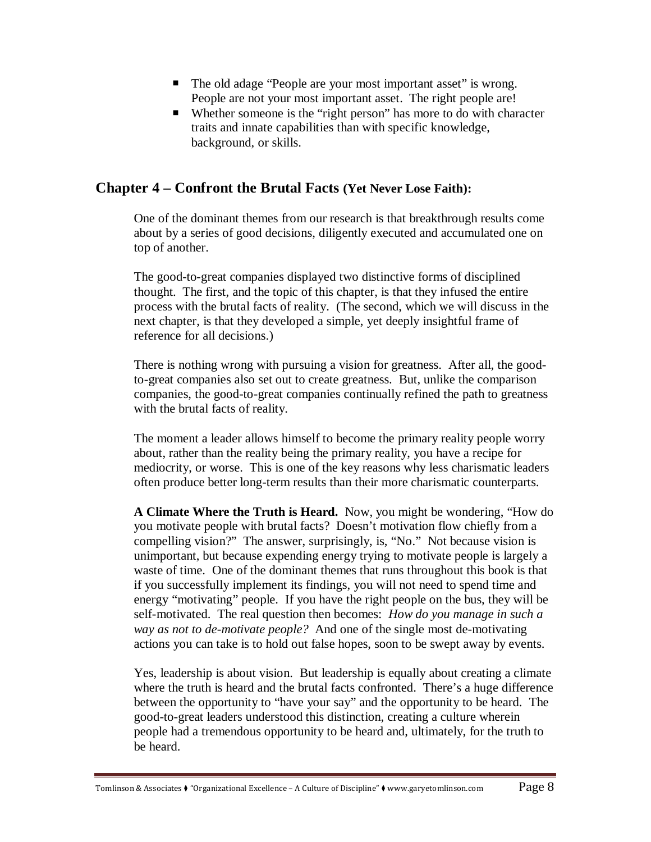- The old adage "People are your most important asset" is wrong. People are not your most important asset. The right people are!
- Whether someone is the "right person" has more to do with character traits and innate capabilities than with specific knowledge, background, or skills.

### **Chapter 4 – Confront the Brutal Facts (Yet Never Lose Faith):**

One of the dominant themes from our research is that breakthrough results come about by a series of good decisions, diligently executed and accumulated one on top of another.

The good-to-great companies displayed two distinctive forms of disciplined thought. The first, and the topic of this chapter, is that they infused the entire process with the brutal facts of reality. (The second, which we will discuss in the next chapter, is that they developed a simple, yet deeply insightful frame of reference for all decisions.)

There is nothing wrong with pursuing a vision for greatness. After all, the goodto-great companies also set out to create greatness. But, unlike the comparison companies, the good-to-great companies continually refined the path to greatness with the brutal facts of reality.

The moment a leader allows himself to become the primary reality people worry about, rather than the reality being the primary reality, you have a recipe for mediocrity, or worse. This is one of the key reasons why less charismatic leaders often produce better long-term results than their more charismatic counterparts.

**A Climate Where the Truth is Heard.** Now, you might be wondering, "How do you motivate people with brutal facts? Doesn't motivation flow chiefly from a compelling vision?" The answer, surprisingly, is, "No." Not because vision is unimportant, but because expending energy trying to motivate people is largely a waste of time. One of the dominant themes that runs throughout this book is that if you successfully implement its findings, you will not need to spend time and energy "motivating" people. If you have the right people on the bus, they will be self-motivated. The real question then becomes: *How do you manage in such a way as not to de-motivate people?* And one of the single most de-motivating actions you can take is to hold out false hopes, soon to be swept away by events.

Yes, leadership is about vision. But leadership is equally about creating a climate where the truth is heard and the brutal facts confronted. There's a huge difference between the opportunity to "have your say" and the opportunity to be heard. The good-to-great leaders understood this distinction, creating a culture wherein people had a tremendous opportunity to be heard and, ultimately, for the truth to be heard.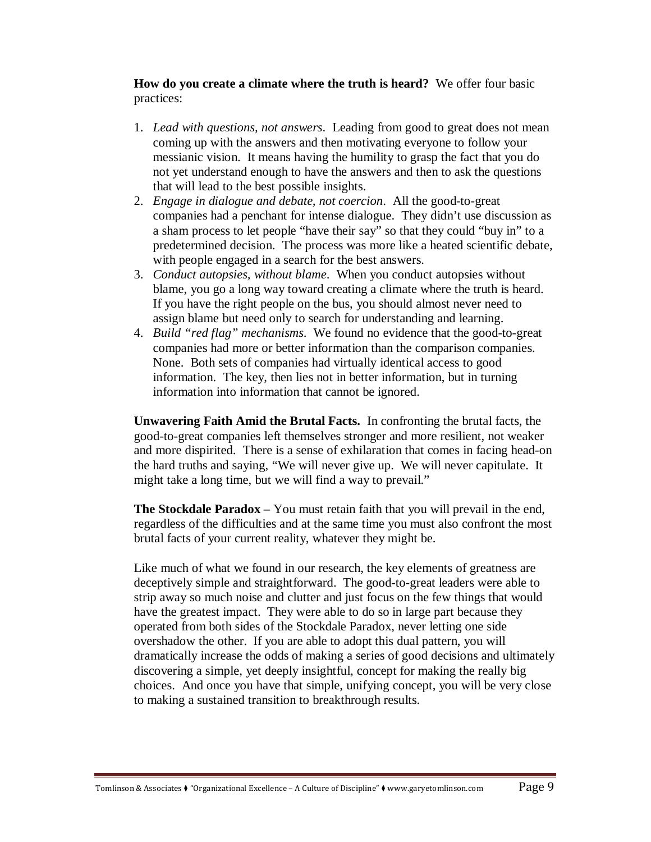**How do you create a climate where the truth is heard?** We offer four basic practices:

- 1. *Lead with questions, not answers*. Leading from good to great does not mean coming up with the answers and then motivating everyone to follow your messianic vision. It means having the humility to grasp the fact that you do not yet understand enough to have the answers and then to ask the questions that will lead to the best possible insights.
- 2. *Engage in dialogue and debate, not coercion*. All the good-to-great companies had a penchant for intense dialogue. They didn't use discussion as a sham process to let people "have their say" so that they could "buy in" to a predetermined decision. The process was more like a heated scientific debate, with people engaged in a search for the best answers.
- 3. *Conduct autopsies, without blame*. When you conduct autopsies without blame, you go a long way toward creating a climate where the truth is heard. If you have the right people on the bus, you should almost never need to assign blame but need only to search for understanding and learning.
- 4. *Build "red flag" mechanisms*. We found no evidence that the good-to-great companies had more or better information than the comparison companies. None. Both sets of companies had virtually identical access to good information. The key, then lies not in better information, but in turning information into information that cannot be ignored.

**Unwavering Faith Amid the Brutal Facts.** In confronting the brutal facts, the good-to-great companies left themselves stronger and more resilient, not weaker and more dispirited. There is a sense of exhilaration that comes in facing head-on the hard truths and saying, "We will never give up. We will never capitulate. It might take a long time, but we will find a way to prevail."

**The Stockdale Paradox –** You must retain faith that you will prevail in the end, regardless of the difficulties and at the same time you must also confront the most brutal facts of your current reality, whatever they might be.

Like much of what we found in our research, the key elements of greatness are deceptively simple and straightforward. The good-to-great leaders were able to strip away so much noise and clutter and just focus on the few things that would have the greatest impact. They were able to do so in large part because they operated from both sides of the Stockdale Paradox, never letting one side overshadow the other. If you are able to adopt this dual pattern, you will dramatically increase the odds of making a series of good decisions and ultimately discovering a simple, yet deeply insightful, concept for making the really big choices. And once you have that simple, unifying concept, you will be very close to making a sustained transition to breakthrough results.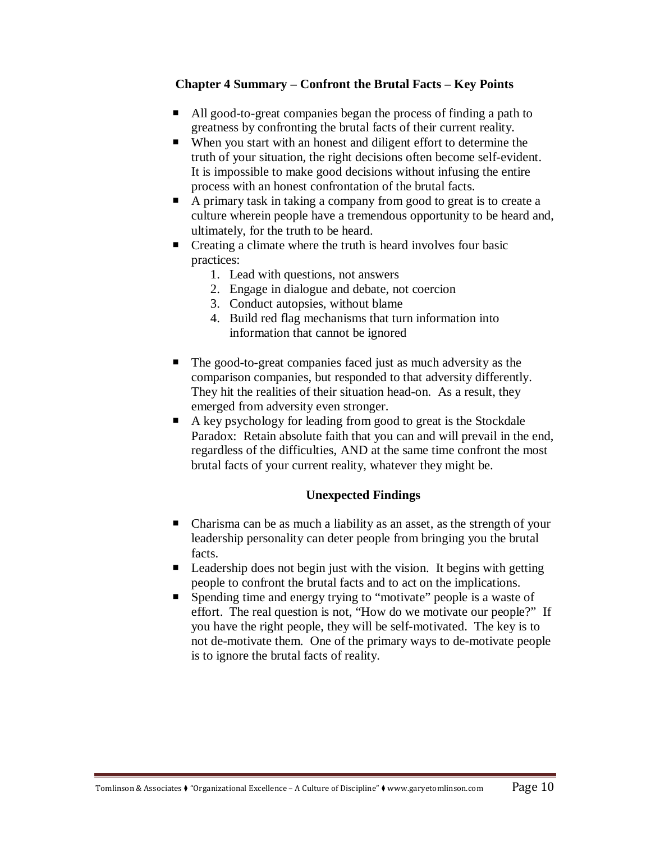#### **Chapter 4 Summary – Confront the Brutal Facts – Key Points**

- All good-to-great companies began the process of finding a path to greatness by confronting the brutal facts of their current reality.
- When you start with an honest and diligent effort to determine the truth of your situation, the right decisions often become self-evident. It is impossible to make good decisions without infusing the entire process with an honest confrontation of the brutal facts.
- A primary task in taking a company from good to great is to create a culture wherein people have a tremendous opportunity to be heard and, ultimately, for the truth to be heard.
- Creating a climate where the truth is heard involves four basic practices:
	- 1. Lead with questions, not answers
	- 2. Engage in dialogue and debate, not coercion
	- 3. Conduct autopsies, without blame
	- 4. Build red flag mechanisms that turn information into information that cannot be ignored
- The good-to-great companies faced just as much adversity as the comparison companies, but responded to that adversity differently. They hit the realities of their situation head-on. As a result, they emerged from adversity even stronger.
- A key psychology for leading from good to great is the Stockdale Paradox: Retain absolute faith that you can and will prevail in the end, regardless of the difficulties, AND at the same time confront the most brutal facts of your current reality, whatever they might be.

### **Unexpected Findings**

- Charisma can be as much a liability as an asset, as the strength of your leadership personality can deter people from bringing you the brutal facts.
- Leadership does not begin just with the vision. It begins with getting people to confront the brutal facts and to act on the implications.
- Spending time and energy trying to "motivate" people is a waste of effort. The real question is not, "How do we motivate our people?" If you have the right people, they will be self-motivated. The key is to not de-motivate them. One of the primary ways to de-motivate people is to ignore the brutal facts of reality.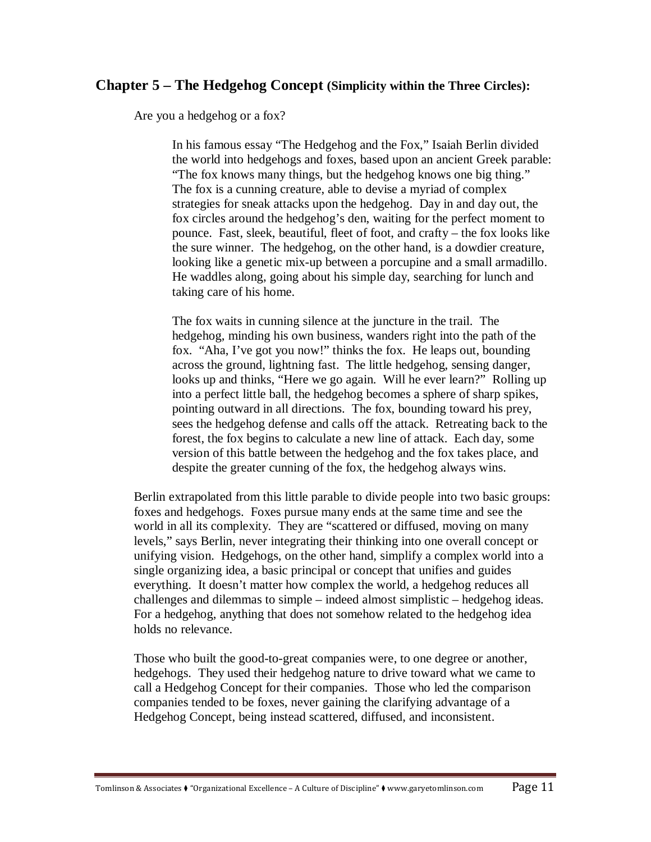### **Chapter 5 – The Hedgehog Concept (Simplicity within the Three Circles):**

Are you a hedgehog or a fox?

In his famous essay "The Hedgehog and the Fox," Isaiah Berlin divided the world into hedgehogs and foxes, based upon an ancient Greek parable: "The fox knows many things, but the hedgehog knows one big thing." The fox is a cunning creature, able to devise a myriad of complex strategies for sneak attacks upon the hedgehog. Day in and day out, the fox circles around the hedgehog's den, waiting for the perfect moment to pounce. Fast, sleek, beautiful, fleet of foot, and crafty – the fox looks like the sure winner. The hedgehog, on the other hand, is a dowdier creature, looking like a genetic mix-up between a porcupine and a small armadillo. He waddles along, going about his simple day, searching for lunch and taking care of his home.

The fox waits in cunning silence at the juncture in the trail. The hedgehog, minding his own business, wanders right into the path of the fox. "Aha, I've got you now!" thinks the fox. He leaps out, bounding across the ground, lightning fast. The little hedgehog, sensing danger, looks up and thinks, "Here we go again. Will he ever learn?" Rolling up into a perfect little ball, the hedgehog becomes a sphere of sharp spikes, pointing outward in all directions. The fox, bounding toward his prey, sees the hedgehog defense and calls off the attack. Retreating back to the forest, the fox begins to calculate a new line of attack. Each day, some version of this battle between the hedgehog and the fox takes place, and despite the greater cunning of the fox, the hedgehog always wins.

Berlin extrapolated from this little parable to divide people into two basic groups: foxes and hedgehogs. Foxes pursue many ends at the same time and see the world in all its complexity. They are "scattered or diffused, moving on many levels," says Berlin, never integrating their thinking into one overall concept or unifying vision. Hedgehogs, on the other hand, simplify a complex world into a single organizing idea, a basic principal or concept that unifies and guides everything. It doesn't matter how complex the world, a hedgehog reduces all challenges and dilemmas to simple – indeed almost simplistic – hedgehog ideas. For a hedgehog, anything that does not somehow related to the hedgehog idea holds no relevance.

Those who built the good-to-great companies were, to one degree or another, hedgehogs. They used their hedgehog nature to drive toward what we came to call a Hedgehog Concept for their companies. Those who led the comparison companies tended to be foxes, never gaining the clarifying advantage of a Hedgehog Concept, being instead scattered, diffused, and inconsistent.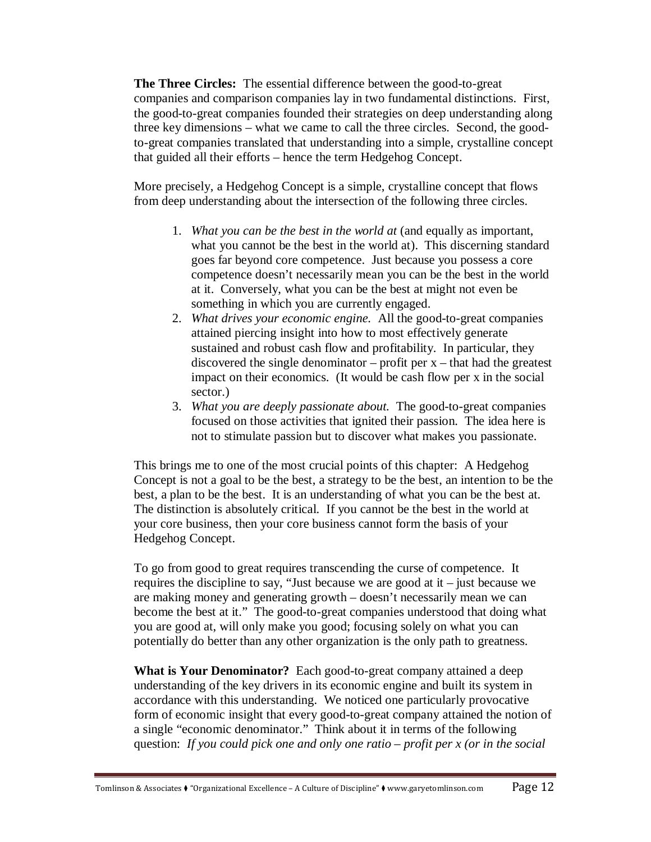**The Three Circles:** The essential difference between the good-to-great companies and comparison companies lay in two fundamental distinctions. First, the good-to-great companies founded their strategies on deep understanding along three key dimensions – what we came to call the three circles. Second, the goodto-great companies translated that understanding into a simple, crystalline concept that guided all their efforts – hence the term Hedgehog Concept.

More precisely, a Hedgehog Concept is a simple, crystalline concept that flows from deep understanding about the intersection of the following three circles.

- 1. *What you can be the best in the world at* (and equally as important, what you cannot be the best in the world at). This discerning standard goes far beyond core competence. Just because you possess a core competence doesn't necessarily mean you can be the best in the world at it. Conversely, what you can be the best at might not even be something in which you are currently engaged.
- 2. *What drives your economic engine.* All the good-to-great companies attained piercing insight into how to most effectively generate sustained and robust cash flow and profitability. In particular, they discovered the single denominator – profit per  $x$  – that had the greatest impact on their economics. (It would be cash flow per x in the social sector.)
- 3. *What you are deeply passionate about.* The good-to-great companies focused on those activities that ignited their passion. The idea here is not to stimulate passion but to discover what makes you passionate.

This brings me to one of the most crucial points of this chapter: A Hedgehog Concept is not a goal to be the best, a strategy to be the best, an intention to be the best, a plan to be the best. It is an understanding of what you can be the best at. The distinction is absolutely critical. If you cannot be the best in the world at your core business, then your core business cannot form the basis of your Hedgehog Concept.

To go from good to great requires transcending the curse of competence. It requires the discipline to say, "Just because we are good at it – just because we are making money and generating growth – doesn't necessarily mean we can become the best at it." The good-to-great companies understood that doing what you are good at, will only make you good; focusing solely on what you can potentially do better than any other organization is the only path to greatness.

**What is Your Denominator?** Each good-to-great company attained a deep understanding of the key drivers in its economic engine and built its system in accordance with this understanding. We noticed one particularly provocative form of economic insight that every good-to-great company attained the notion of a single "economic denominator." Think about it in terms of the following question: *If you could pick one and only one ratio – profit per x (or in the social*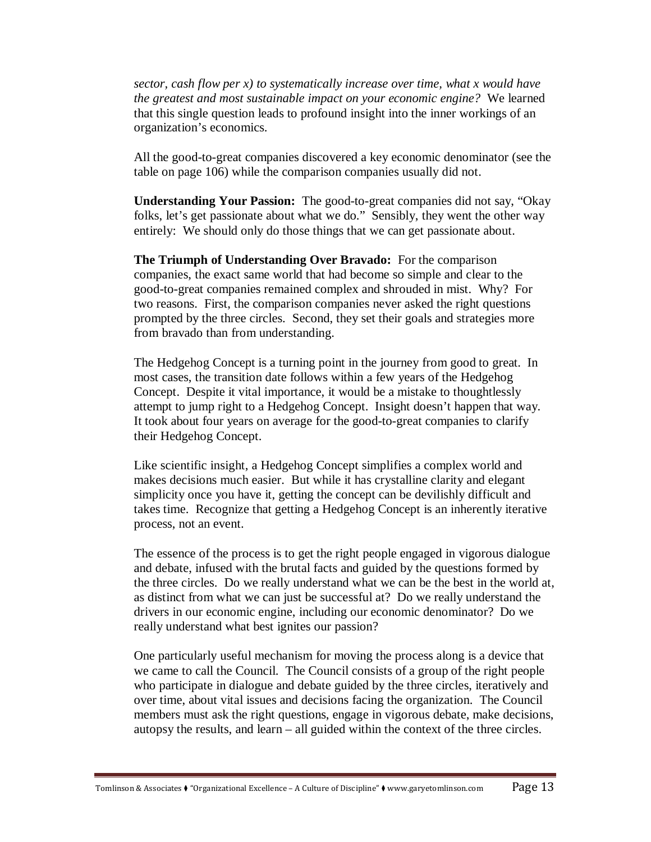*sector, cash flow per x) to systematically increase over time, what x would have the greatest and most sustainable impact on your economic engine?* We learned that this single question leads to profound insight into the inner workings of an organization's economics.

All the good-to-great companies discovered a key economic denominator (see the table on page 106) while the comparison companies usually did not.

**Understanding Your Passion:** The good-to-great companies did not say, "Okay folks, let's get passionate about what we do." Sensibly, they went the other way entirely: We should only do those things that we can get passionate about.

**The Triumph of Understanding Over Bravado:** For the comparison companies, the exact same world that had become so simple and clear to the good-to-great companies remained complex and shrouded in mist. Why? For two reasons. First, the comparison companies never asked the right questions prompted by the three circles. Second, they set their goals and strategies more from bravado than from understanding.

The Hedgehog Concept is a turning point in the journey from good to great. In most cases, the transition date follows within a few years of the Hedgehog Concept. Despite it vital importance, it would be a mistake to thoughtlessly attempt to jump right to a Hedgehog Concept. Insight doesn't happen that way. It took about four years on average for the good-to-great companies to clarify their Hedgehog Concept.

Like scientific insight, a Hedgehog Concept simplifies a complex world and makes decisions much easier. But while it has crystalline clarity and elegant simplicity once you have it, getting the concept can be devilishly difficult and takes time. Recognize that getting a Hedgehog Concept is an inherently iterative process, not an event.

The essence of the process is to get the right people engaged in vigorous dialogue and debate, infused with the brutal facts and guided by the questions formed by the three circles. Do we really understand what we can be the best in the world at, as distinct from what we can just be successful at? Do we really understand the drivers in our economic engine, including our economic denominator? Do we really understand what best ignites our passion?

One particularly useful mechanism for moving the process along is a device that we came to call the Council. The Council consists of a group of the right people who participate in dialogue and debate guided by the three circles, iteratively and over time, about vital issues and decisions facing the organization. The Council members must ask the right questions, engage in vigorous debate, make decisions, autopsy the results, and learn – all guided within the context of the three circles.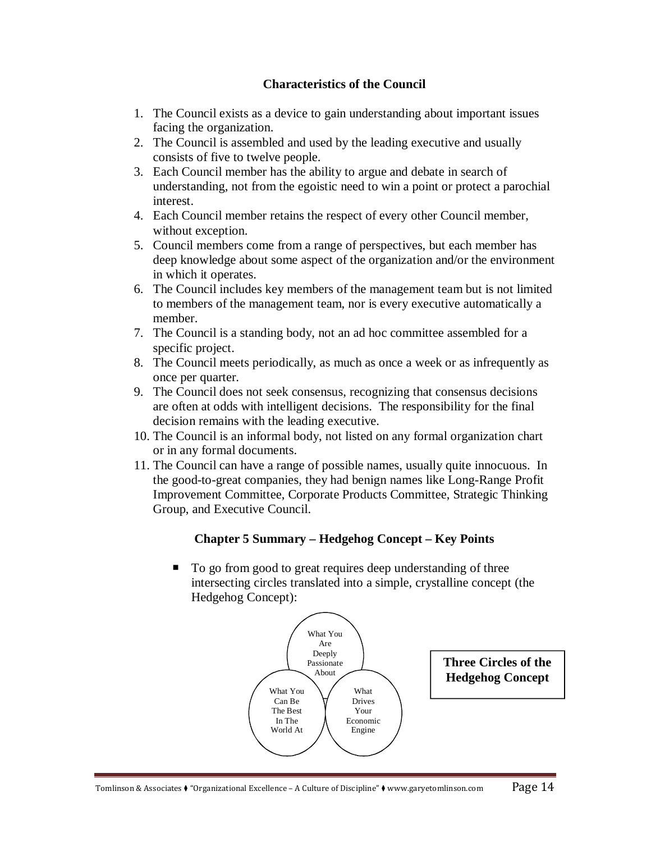### **Characteristics of the Council**

- 1. The Council exists as a device to gain understanding about important issues facing the organization.
- 2. The Council is assembled and used by the leading executive and usually consists of five to twelve people.
- 3. Each Council member has the ability to argue and debate in search of understanding, not from the egoistic need to win a point or protect a parochial interest.
- 4. Each Council member retains the respect of every other Council member, without exception.
- 5. Council members come from a range of perspectives, but each member has deep knowledge about some aspect of the organization and/or the environment in which it operates.
- 6. The Council includes key members of the management team but is not limited to members of the management team, nor is every executive automatically a member.
- 7. The Council is a standing body, not an ad hoc committee assembled for a specific project.
- 8. The Council meets periodically, as much as once a week or as infrequently as once per quarter.
- 9. The Council does not seek consensus, recognizing that consensus decisions are often at odds with intelligent decisions. The responsibility for the final decision remains with the leading executive.
- 10. The Council is an informal body, not listed on any formal organization chart or in any formal documents.
- 11. The Council can have a range of possible names, usually quite innocuous. In the good-to-great companies, they had benign names like Long-Range Profit Improvement Committee, Corporate Products Committee, Strategic Thinking Group, and Executive Council.

## **Chapter 5 Summary – Hedgehog Concept – Key Points**

 $\blacksquare$  To go from good to great requires deep understanding of three intersecting circles translated into a simple, crystalline concept (the Hedgehog Concept):

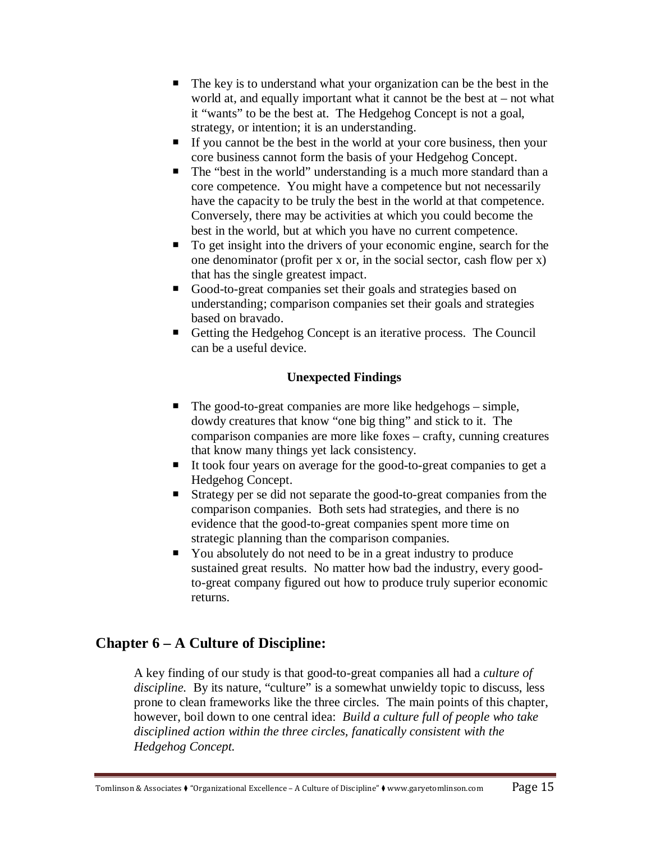- The key is to understand what your organization can be the best in the world at, and equally important what it cannot be the best at – not what it "wants" to be the best at. The Hedgehog Concept is not a goal, strategy, or intention; it is an understanding.
- If you cannot be the best in the world at your core business, then your core business cannot form the basis of your Hedgehog Concept.
- The "best in the world" understanding is a much more standard than a core competence. You might have a competence but not necessarily have the capacity to be truly the best in the world at that competence. Conversely, there may be activities at which you could become the best in the world, but at which you have no current competence.
- To get insight into the drivers of your economic engine, search for the one denominator (profit per x or, in the social sector, cash flow per x) that has the single greatest impact.
- Good-to-great companies set their goals and strategies based on understanding; comparison companies set their goals and strategies based on bravado.
- Getting the Hedgehog Concept is an iterative process. The Council can be a useful device.

## **Unexpected Findings**

- The good-to-great companies are more like hedgehogs simple, dowdy creatures that know "one big thing" and stick to it. The comparison companies are more like foxes – crafty, cunning creatures that know many things yet lack consistency.
- It took four years on average for the good-to-great companies to get a Hedgehog Concept.
- Strategy per se did not separate the good-to-great companies from the comparison companies. Both sets had strategies, and there is no evidence that the good-to-great companies spent more time on strategic planning than the comparison companies.
- You absolutely do not need to be in a great industry to produce sustained great results. No matter how bad the industry, every goodto-great company figured out how to produce truly superior economic returns.

# **Chapter 6 – A Culture of Discipline:**

A key finding of our study is that good-to-great companies all had a *culture of discipline.* By its nature, "culture" is a somewhat unwieldy topic to discuss, less prone to clean frameworks like the three circles. The main points of this chapter, however, boil down to one central idea: *Build a culture full of people who take disciplined action within the three circles, fanatically consistent with the Hedgehog Concept.*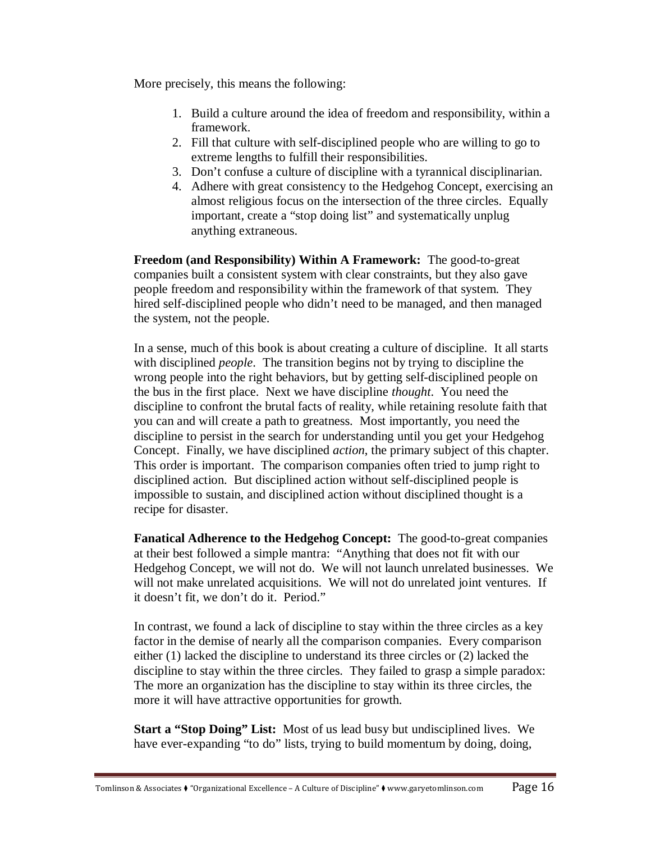More precisely, this means the following:

- 1. Build a culture around the idea of freedom and responsibility, within a framework.
- 2. Fill that culture with self-disciplined people who are willing to go to extreme lengths to fulfill their responsibilities.
- 3. Don't confuse a culture of discipline with a tyrannical disciplinarian.
- 4. Adhere with great consistency to the Hedgehog Concept, exercising an almost religious focus on the intersection of the three circles. Equally important, create a "stop doing list" and systematically unplug anything extraneous.

**Freedom (and Responsibility) Within A Framework:** The good-to-great companies built a consistent system with clear constraints, but they also gave people freedom and responsibility within the framework of that system. They hired self-disciplined people who didn't need to be managed, and then managed the system, not the people.

In a sense, much of this book is about creating a culture of discipline. It all starts with disciplined *people*. The transition begins not by trying to discipline the wrong people into the right behaviors, but by getting self-disciplined people on the bus in the first place. Next we have discipline *thought*. You need the discipline to confront the brutal facts of reality, while retaining resolute faith that you can and will create a path to greatness. Most importantly, you need the discipline to persist in the search for understanding until you get your Hedgehog Concept. Finally, we have disciplined *action*, the primary subject of this chapter. This order is important. The comparison companies often tried to jump right to disciplined action. But disciplined action without self-disciplined people is impossible to sustain, and disciplined action without disciplined thought is a recipe for disaster.

**Fanatical Adherence to the Hedgehog Concept:** The good-to-great companies at their best followed a simple mantra: "Anything that does not fit with our Hedgehog Concept, we will not do. We will not launch unrelated businesses. We will not make unrelated acquisitions. We will not do unrelated joint ventures. If it doesn't fit, we don't do it. Period."

In contrast, we found a lack of discipline to stay within the three circles as a key factor in the demise of nearly all the comparison companies. Every comparison either (1) lacked the discipline to understand its three circles or (2) lacked the discipline to stay within the three circles. They failed to grasp a simple paradox: The more an organization has the discipline to stay within its three circles, the more it will have attractive opportunities for growth.

**Start a "Stop Doing" List:** Most of us lead busy but undisciplined lives. We have ever-expanding "to do" lists, trying to build momentum by doing, doing,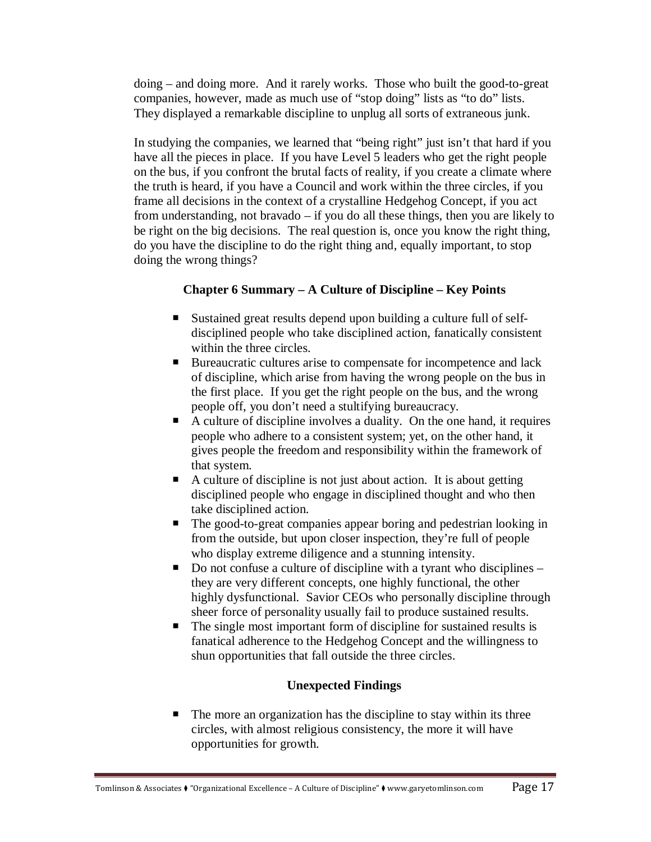doing – and doing more. And it rarely works. Those who built the good-to-great companies, however, made as much use of "stop doing" lists as "to do" lists. They displayed a remarkable discipline to unplug all sorts of extraneous junk.

In studying the companies, we learned that "being right" just isn't that hard if you have all the pieces in place. If you have Level 5 leaders who get the right people on the bus, if you confront the brutal facts of reality, if you create a climate where the truth is heard, if you have a Council and work within the three circles, if you frame all decisions in the context of a crystalline Hedgehog Concept, if you act from understanding, not bravado – if you do all these things, then you are likely to be right on the big decisions. The real question is, once you know the right thing, do you have the discipline to do the right thing and, equally important, to stop doing the wrong things?

## **Chapter 6 Summary – A Culture of Discipline – Key Points**

- Sustained great results depend upon building a culture full of selfdisciplined people who take disciplined action, fanatically consistent within the three circles.
- **Bureaucratic cultures arise to compensate for incompetence and lack** of discipline, which arise from having the wrong people on the bus in the first place. If you get the right people on the bus, and the wrong people off, you don't need a stultifying bureaucracy.
- A culture of discipline involves a duality. On the one hand, it requires people who adhere to a consistent system; yet, on the other hand, it gives people the freedom and responsibility within the framework of that system.
- $\blacksquare$  A culture of discipline is not just about action. It is about getting disciplined people who engage in disciplined thought and who then take disciplined action.
- The good-to-great companies appear boring and pedestrian looking in from the outside, but upon closer inspection, they're full of people who display extreme diligence and a stunning intensity.
- Do not confuse a culture of discipline with a tyrant who disciplines  $$ they are very different concepts, one highly functional, the other highly dysfunctional. Savior CEOs who personally discipline through sheer force of personality usually fail to produce sustained results.
- The single most important form of discipline for sustained results is fanatical adherence to the Hedgehog Concept and the willingness to shun opportunities that fall outside the three circles.

### **Unexpected Findings**

 $\blacksquare$  The more an organization has the discipline to stay within its three circles, with almost religious consistency, the more it will have opportunities for growth.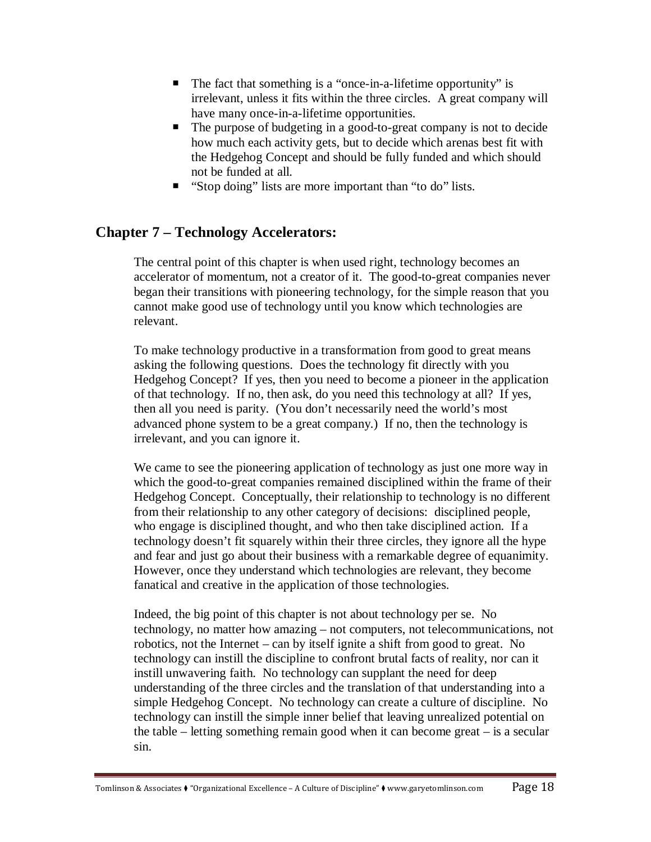- The fact that something is a "once-in-a-lifetime opportunity" is irrelevant, unless it fits within the three circles. A great company will have many once-in-a-lifetime opportunities.
- The purpose of budgeting in a good-to-great company is not to decide how much each activity gets, but to decide which arenas best fit with the Hedgehog Concept and should be fully funded and which should not be funded at all.
- "Stop doing" lists are more important than "to do" lists.

# **Chapter 7 – Technology Accelerators:**

The central point of this chapter is when used right, technology becomes an accelerator of momentum, not a creator of it. The good-to-great companies never began their transitions with pioneering technology, for the simple reason that you cannot make good use of technology until you know which technologies are relevant.

To make technology productive in a transformation from good to great means asking the following questions. Does the technology fit directly with you Hedgehog Concept? If yes, then you need to become a pioneer in the application of that technology. If no, then ask, do you need this technology at all? If yes, then all you need is parity. (You don't necessarily need the world's most advanced phone system to be a great company.) If no, then the technology is irrelevant, and you can ignore it.

We came to see the pioneering application of technology as just one more way in which the good-to-great companies remained disciplined within the frame of their Hedgehog Concept. Conceptually, their relationship to technology is no different from their relationship to any other category of decisions: disciplined people, who engage is disciplined thought, and who then take disciplined action. If a technology doesn't fit squarely within their three circles, they ignore all the hype and fear and just go about their business with a remarkable degree of equanimity. However, once they understand which technologies are relevant, they become fanatical and creative in the application of those technologies.

Indeed, the big point of this chapter is not about technology per se. No technology, no matter how amazing – not computers, not telecommunications, not robotics, not the Internet – can by itself ignite a shift from good to great. No technology can instill the discipline to confront brutal facts of reality, nor can it instill unwavering faith. No technology can supplant the need for deep understanding of the three circles and the translation of that understanding into a simple Hedgehog Concept. No technology can create a culture of discipline. No technology can instill the simple inner belief that leaving unrealized potential on the table – letting something remain good when it can become great – is a secular sin.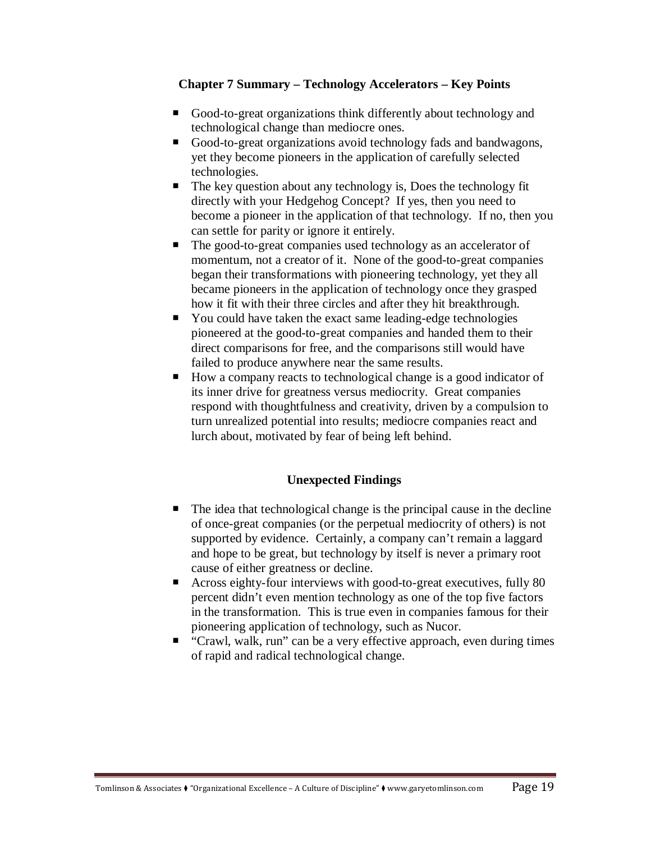#### **Chapter 7 Summary – Technology Accelerators – Key Points**

- Good-to-great organizations think differently about technology and technological change than mediocre ones.
- Good-to-great organizations avoid technology fads and bandwagons, yet they become pioneers in the application of carefully selected technologies.
- The key question about any technology is, Does the technology fit directly with your Hedgehog Concept? If yes, then you need to become a pioneer in the application of that technology. If no, then you can settle for parity or ignore it entirely.
- The good-to-great companies used technology as an accelerator of momentum, not a creator of it. None of the good-to-great companies began their transformations with pioneering technology, yet they all became pioneers in the application of technology once they grasped how it fit with their three circles and after they hit breakthrough.
- You could have taken the exact same leading-edge technologies pioneered at the good-to-great companies and handed them to their direct comparisons for free, and the comparisons still would have failed to produce anywhere near the same results.
- $\blacksquare$  How a company reacts to technological change is a good indicator of its inner drive for greatness versus mediocrity. Great companies respond with thoughtfulness and creativity, driven by a compulsion to turn unrealized potential into results; mediocre companies react and lurch about, motivated by fear of being left behind.

#### **Unexpected Findings**

- The idea that technological change is the principal cause in the decline of once-great companies (or the perpetual mediocrity of others) is not supported by evidence. Certainly, a company can't remain a laggard and hope to be great, but technology by itself is never a primary root cause of either greatness or decline.
- Across eighty-four interviews with good-to-great executives, fully 80 percent didn't even mention technology as one of the top five factors in the transformation. This is true even in companies famous for their pioneering application of technology, such as Nucor.
- "Crawl, walk, run" can be a very effective approach, even during times of rapid and radical technological change.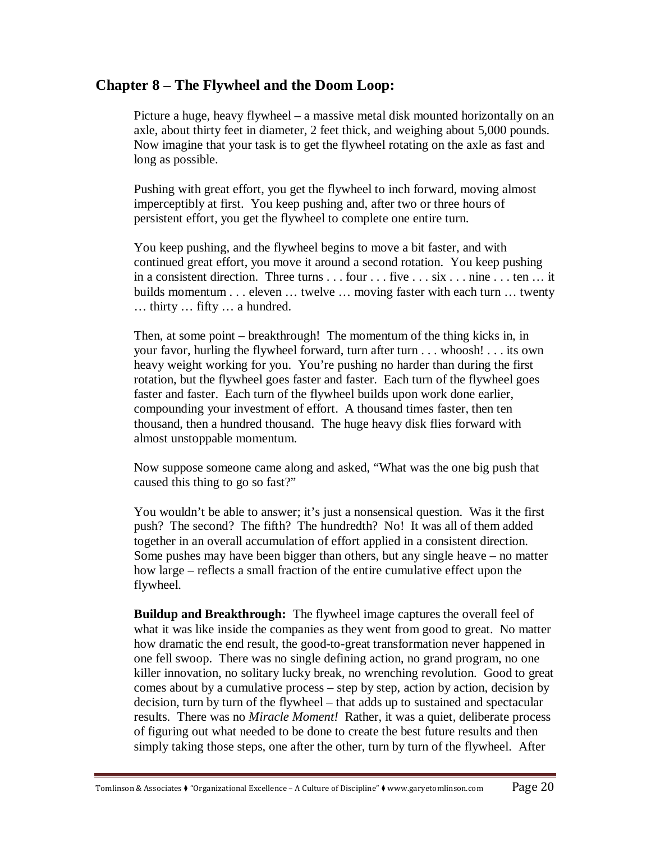### **Chapter 8 – The Flywheel and the Doom Loop:**

Picture a huge, heavy flywheel – a massive metal disk mounted horizontally on an axle, about thirty feet in diameter, 2 feet thick, and weighing about 5,000 pounds. Now imagine that your task is to get the flywheel rotating on the axle as fast and long as possible.

Pushing with great effort, you get the flywheel to inch forward, moving almost imperceptibly at first. You keep pushing and, after two or three hours of persistent effort, you get the flywheel to complete one entire turn.

You keep pushing, and the flywheel begins to move a bit faster, and with continued great effort, you move it around a second rotation. You keep pushing in a consistent direction. Three turns . . . four . . . five . . . six . . . nine . . . ten … it builds momentum . . . eleven … twelve … moving faster with each turn … twenty … thirty … fifty … a hundred.

Then, at some point – breakthrough! The momentum of the thing kicks in, in your favor, hurling the flywheel forward, turn after turn . . . whoosh! . . . its own heavy weight working for you. You're pushing no harder than during the first rotation, but the flywheel goes faster and faster. Each turn of the flywheel goes faster and faster. Each turn of the flywheel builds upon work done earlier, compounding your investment of effort. A thousand times faster, then ten thousand, then a hundred thousand. The huge heavy disk flies forward with almost unstoppable momentum.

Now suppose someone came along and asked, "What was the one big push that caused this thing to go so fast?"

You wouldn't be able to answer; it's just a nonsensical question. Was it the first push? The second? The fifth? The hundredth? No! It was all of them added together in an overall accumulation of effort applied in a consistent direction. Some pushes may have been bigger than others, but any single heave – no matter how large – reflects a small fraction of the entire cumulative effect upon the flywheel.

**Buildup and Breakthrough:** The flywheel image captures the overall feel of what it was like inside the companies as they went from good to great. No matter how dramatic the end result, the good-to-great transformation never happened in one fell swoop. There was no single defining action, no grand program, no one killer innovation, no solitary lucky break, no wrenching revolution. Good to great comes about by a cumulative process – step by step, action by action, decision by decision, turn by turn of the flywheel – that adds up to sustained and spectacular results. There was no *Miracle Moment!* Rather, it was a quiet, deliberate process of figuring out what needed to be done to create the best future results and then simply taking those steps, one after the other, turn by turn of the flywheel. After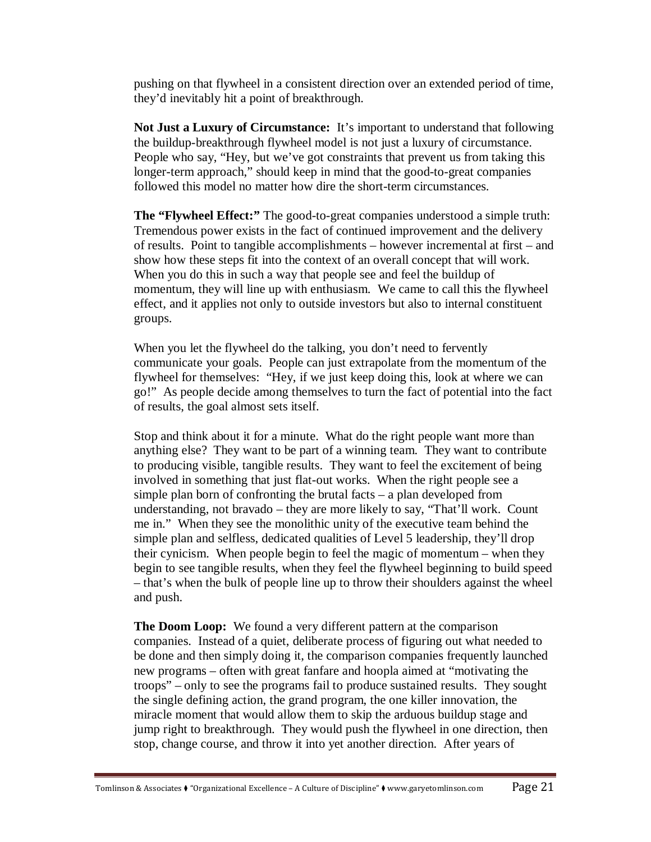pushing on that flywheel in a consistent direction over an extended period of time, they'd inevitably hit a point of breakthrough.

**Not Just a Luxury of Circumstance:** It's important to understand that following the buildup-breakthrough flywheel model is not just a luxury of circumstance. People who say, "Hey, but we've got constraints that prevent us from taking this longer-term approach," should keep in mind that the good-to-great companies followed this model no matter how dire the short-term circumstances.

**The "Flywheel Effect:"** The good-to-great companies understood a simple truth: Tremendous power exists in the fact of continued improvement and the delivery of results. Point to tangible accomplishments – however incremental at first – and show how these steps fit into the context of an overall concept that will work. When you do this in such a way that people see and feel the buildup of momentum, they will line up with enthusiasm. We came to call this the flywheel effect, and it applies not only to outside investors but also to internal constituent groups.

When you let the flywheel do the talking, you don't need to fervently communicate your goals. People can just extrapolate from the momentum of the flywheel for themselves: "Hey, if we just keep doing this, look at where we can go!" As people decide among themselves to turn the fact of potential into the fact of results, the goal almost sets itself.

Stop and think about it for a minute. What do the right people want more than anything else? They want to be part of a winning team. They want to contribute to producing visible, tangible results. They want to feel the excitement of being involved in something that just flat-out works. When the right people see a simple plan born of confronting the brutal facts – a plan developed from understanding, not bravado – they are more likely to say, "That'll work. Count me in." When they see the monolithic unity of the executive team behind the simple plan and selfless, dedicated qualities of Level 5 leadership, they'll drop their cynicism. When people begin to feel the magic of momentum – when they begin to see tangible results, when they feel the flywheel beginning to build speed – that's when the bulk of people line up to throw their shoulders against the wheel and push.

**The Doom Loop:** We found a very different pattern at the comparison companies. Instead of a quiet, deliberate process of figuring out what needed to be done and then simply doing it, the comparison companies frequently launched new programs – often with great fanfare and hoopla aimed at "motivating the troops" – only to see the programs fail to produce sustained results. They sought the single defining action, the grand program, the one killer innovation, the miracle moment that would allow them to skip the arduous buildup stage and jump right to breakthrough. They would push the flywheel in one direction, then stop, change course, and throw it into yet another direction. After years of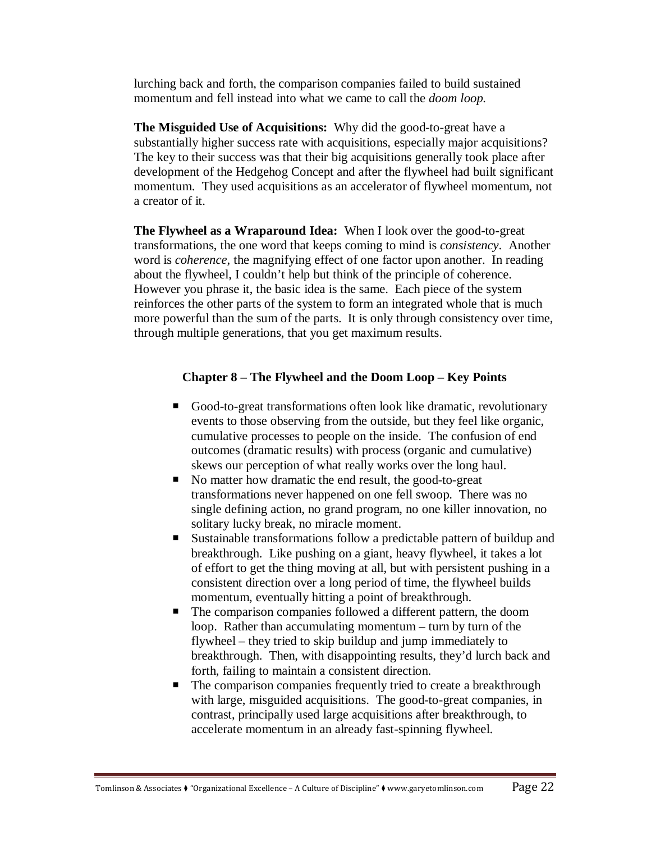lurching back and forth, the comparison companies failed to build sustained momentum and fell instead into what we came to call the *doom loop.*

**The Misguided Use of Acquisitions:** Why did the good-to-great have a substantially higher success rate with acquisitions, especially major acquisitions? The key to their success was that their big acquisitions generally took place after development of the Hedgehog Concept and after the flywheel had built significant momentum. They used acquisitions as an accelerator of flywheel momentum, not a creator of it.

**The Flywheel as a Wraparound Idea:** When I look over the good-to-great transformations, the one word that keeps coming to mind is *consistency*. Another word is *coherence*, the magnifying effect of one factor upon another. In reading about the flywheel, I couldn't help but think of the principle of coherence. However you phrase it, the basic idea is the same. Each piece of the system reinforces the other parts of the system to form an integrated whole that is much more powerful than the sum of the parts. It is only through consistency over time, through multiple generations, that you get maximum results.

### **Chapter 8 – The Flywheel and the Doom Loop – Key Points**

- Good-to-great transformations often look like dramatic, revolutionary events to those observing from the outside, but they feel like organic, cumulative processes to people on the inside. The confusion of end outcomes (dramatic results) with process (organic and cumulative) skews our perception of what really works over the long haul.
- No matter how dramatic the end result, the good-to-great transformations never happened on one fell swoop. There was no single defining action, no grand program, no one killer innovation, no solitary lucky break, no miracle moment.
- Sustainable transformations follow a predictable pattern of buildup and breakthrough. Like pushing on a giant, heavy flywheel, it takes a lot of effort to get the thing moving at all, but with persistent pushing in a consistent direction over a long period of time, the flywheel builds momentum, eventually hitting a point of breakthrough.
- The comparison companies followed a different pattern, the doom loop. Rather than accumulating momentum – turn by turn of the flywheel – they tried to skip buildup and jump immediately to breakthrough. Then, with disappointing results, they'd lurch back and forth, failing to maintain a consistent direction.
- The comparison companies frequently tried to create a breakthrough with large, misguided acquisitions. The good-to-great companies, in contrast, principally used large acquisitions after breakthrough, to accelerate momentum in an already fast-spinning flywheel.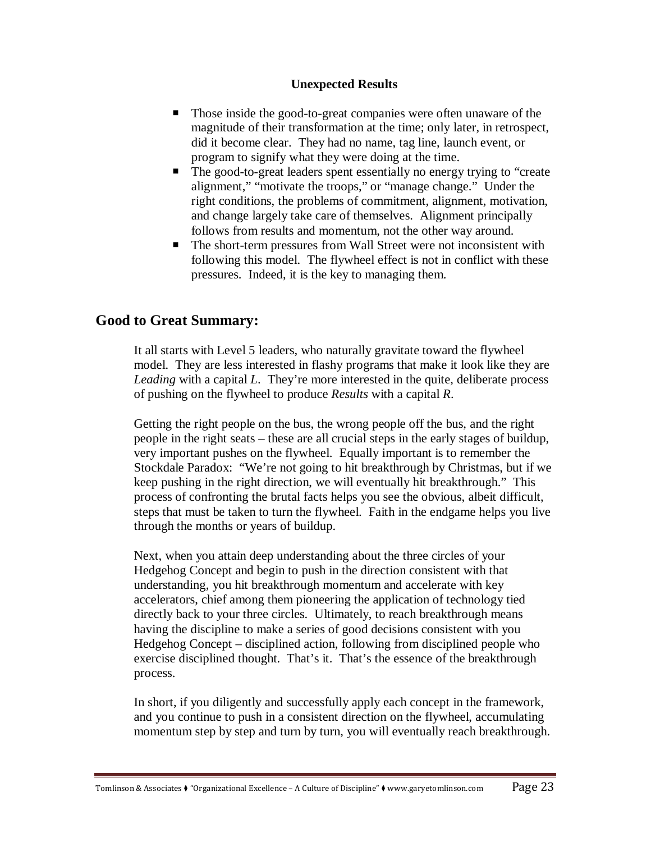#### **Unexpected Results**

- Those inside the good-to-great companies were often unaware of the magnitude of their transformation at the time; only later, in retrospect, did it become clear. They had no name, tag line, launch event, or program to signify what they were doing at the time.
- The good-to-great leaders spent essentially no energy trying to "create alignment," "motivate the troops," or "manage change." Under the right conditions, the problems of commitment, alignment, motivation, and change largely take care of themselves. Alignment principally follows from results and momentum, not the other way around.
- The short-term pressures from Wall Street were not inconsistent with following this model. The flywheel effect is not in conflict with these pressures. Indeed, it is the key to managing them.

## **Good to Great Summary:**

It all starts with Level 5 leaders, who naturally gravitate toward the flywheel model. They are less interested in flashy programs that make it look like they are *Leading* with a capital *L*. They're more interested in the quite, deliberate process of pushing on the flywheel to produce *Results* with a capital *R*.

Getting the right people on the bus, the wrong people off the bus, and the right people in the right seats – these are all crucial steps in the early stages of buildup, very important pushes on the flywheel. Equally important is to remember the Stockdale Paradox: "We're not going to hit breakthrough by Christmas, but if we keep pushing in the right direction, we will eventually hit breakthrough." This process of confronting the brutal facts helps you see the obvious, albeit difficult, steps that must be taken to turn the flywheel. Faith in the endgame helps you live through the months or years of buildup.

Next, when you attain deep understanding about the three circles of your Hedgehog Concept and begin to push in the direction consistent with that understanding, you hit breakthrough momentum and accelerate with key accelerators, chief among them pioneering the application of technology tied directly back to your three circles. Ultimately, to reach breakthrough means having the discipline to make a series of good decisions consistent with you Hedgehog Concept – disciplined action, following from disciplined people who exercise disciplined thought. That's it. That's the essence of the breakthrough process.

In short, if you diligently and successfully apply each concept in the framework, and you continue to push in a consistent direction on the flywheel, accumulating momentum step by step and turn by turn, you will eventually reach breakthrough.